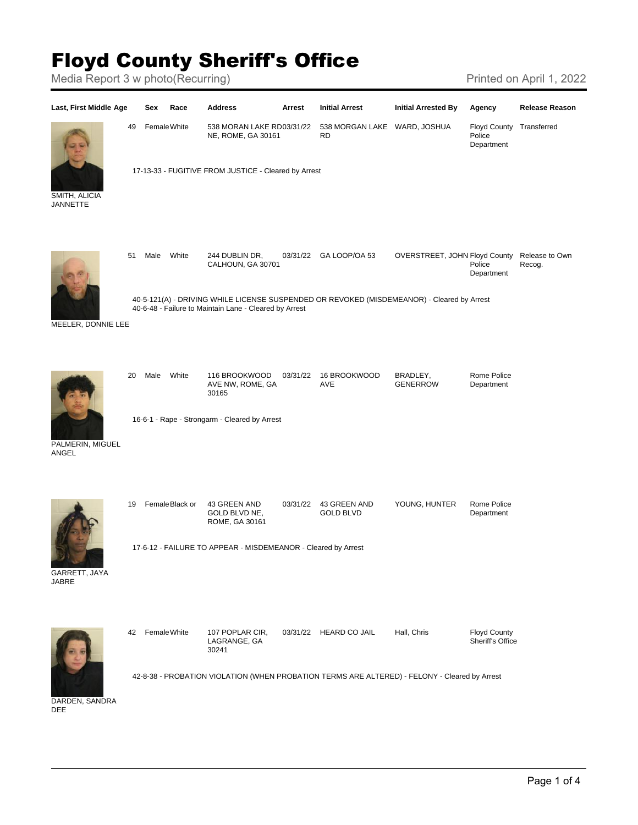## Floyd County Sheriff's Office

Media Report 3 w photo(Recurring) Media Report 3 w photo(Recurring)

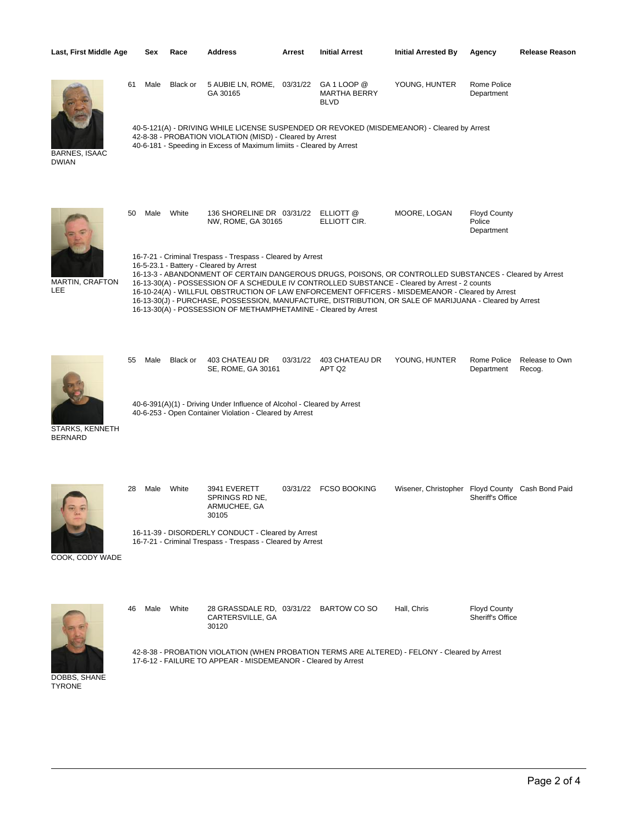| Last, First Middle Age               |                                                                                                                                                                                                                                | Sex                                                                                                                                                                                                                                                                                                                                                                                                                                                                                                                                                                                                | Race     | <b>Address</b>                                                      | Arrest   | <b>Initial Arrest</b>                      | <b>Initial Arrested By</b>                       | Agency                                      | Release Reason           |  |  |
|--------------------------------------|--------------------------------------------------------------------------------------------------------------------------------------------------------------------------------------------------------------------------------|----------------------------------------------------------------------------------------------------------------------------------------------------------------------------------------------------------------------------------------------------------------------------------------------------------------------------------------------------------------------------------------------------------------------------------------------------------------------------------------------------------------------------------------------------------------------------------------------------|----------|---------------------------------------------------------------------|----------|--------------------------------------------|--------------------------------------------------|---------------------------------------------|--------------------------|--|--|
|                                      | 61                                                                                                                                                                                                                             | Male                                                                                                                                                                                                                                                                                                                                                                                                                                                                                                                                                                                               | Black or | 5 AUBIE LN, ROME, 03/31/22<br>GA 30165                              |          | GA 1 LOOP @<br>MARTHA BERRY<br><b>BLVD</b> | YOUNG, HUNTER                                    | Rome Police<br>Department                   |                          |  |  |
| <b>BARNES, ISAAC</b><br><b>DWIAN</b> | 40-5-121(A) - DRIVING WHILE LICENSE SUSPENDED OR REVOKED (MISDEMEANOR) - Cleared by Arrest<br>42-8-38 - PROBATION VIOLATION (MISD) - Cleared by Arrest<br>40-6-181 - Speeding in Excess of Maximum limiits - Cleared by Arrest |                                                                                                                                                                                                                                                                                                                                                                                                                                                                                                                                                                                                    |          |                                                                     |          |                                            |                                                  |                                             |                          |  |  |
| <b>MARTIN, CRAFTON</b><br>LEE        | 50                                                                                                                                                                                                                             | Male                                                                                                                                                                                                                                                                                                                                                                                                                                                                                                                                                                                               | White    | 136 SHORELINE DR 03/31/22 ELLIOTT @<br>NW, ROME, GA 30165           |          | ELLIOTT CIR.                               | MOORE, LOGAN                                     | <b>Floyd County</b><br>Police<br>Department |                          |  |  |
|                                      |                                                                                                                                                                                                                                | 16-7-21 - Criminal Trespass - Trespass - Cleared by Arrest<br>16-5-23.1 - Battery - Cleared by Arrest<br>16-13-3 - ABANDONMENT OF CERTAIN DANGEROUS DRUGS, POISONS, OR CONTROLLED SUBSTANCES - Cleared by Arrest<br>16-13-30(A) - POSSESSION OF A SCHEDULE IV CONTROLLED SUBSTANCE - Cleared by Arrest - 2 counts<br>16-10-24(A) - WILLFUL OBSTRUCTION OF LAW ENFORCEMENT OFFICERS - MISDEMEANOR - Cleared by Arrest<br>16-13-30(J) - PURCHASE, POSSESSION, MANUFACTURE, DISTRIBUTION, OR SALE OF MARIJUANA - Cleared by Arrest<br>16-13-30(A) - POSSESSION OF METHAMPHETAMINE - Cleared by Arrest |          |                                                                     |          |                                            |                                                  |                                             |                          |  |  |
| STARKS, KENNETH<br><b>BERNARD</b>    | 55                                                                                                                                                                                                                             | Male                                                                                                                                                                                                                                                                                                                                                                                                                                                                                                                                                                                               | Black or | 403 CHATEAU DR<br>SE, ROME, GA 30161                                | 03/31/22 | 403 CHATEAU DR<br>APT Q2                   | YOUNG, HUNTER                                    | Rome Police<br>Department                   | Release to Own<br>Recog. |  |  |
|                                      | 40-6-391(A)(1) - Driving Under Influence of Alcohol - Cleared by Arrest<br>40-6-253 - Open Container Violation - Cleared by Arrest                                                                                             |                                                                                                                                                                                                                                                                                                                                                                                                                                                                                                                                                                                                    |          |                                                                     |          |                                            |                                                  |                                             |                          |  |  |
|                                      | 28                                                                                                                                                                                                                             | Male                                                                                                                                                                                                                                                                                                                                                                                                                                                                                                                                                                                               | White    | 3941 EVERETT<br>SPRINGS RD NE,<br>ARMUCHEE, GA<br>30105             |          | 03/31/22 FCSO BOOKING                      | Wisener, Christopher Floyd County Cash Bond Paid | Sheriff's Office                            |                          |  |  |
| COOK, CODY WADE                      | 16-11-39 - DISORDERLY CONDUCT - Cleared by Arrest<br>16-7-21 - Criminal Trespass - Trespass - Cleared by Arrest                                                                                                                |                                                                                                                                                                                                                                                                                                                                                                                                                                                                                                                                                                                                    |          |                                                                     |          |                                            |                                                  |                                             |                          |  |  |
|                                      | 46                                                                                                                                                                                                                             | Male                                                                                                                                                                                                                                                                                                                                                                                                                                                                                                                                                                                               | White    | 28 GRASSDALE RD, 03/31/22 BARTOW CO SO<br>CARTERSVILLE, GA<br>30120 |          |                                            | Hall, Chris                                      | <b>Floyd County</b><br>Sheriff's Office     |                          |  |  |
| DOBBS, SHANE<br><b>TYRONE</b>        | 42-8-38 - PROBATION VIOLATION (WHEN PROBATION TERMS ARE ALTERED) - FELONY - Cleared by Arrest<br>17-6-12 - FAILURE TO APPEAR - MISDEMEANOR - Cleared by Arrest                                                                 |                                                                                                                                                                                                                                                                                                                                                                                                                                                                                                                                                                                                    |          |                                                                     |          |                                            |                                                  |                                             |                          |  |  |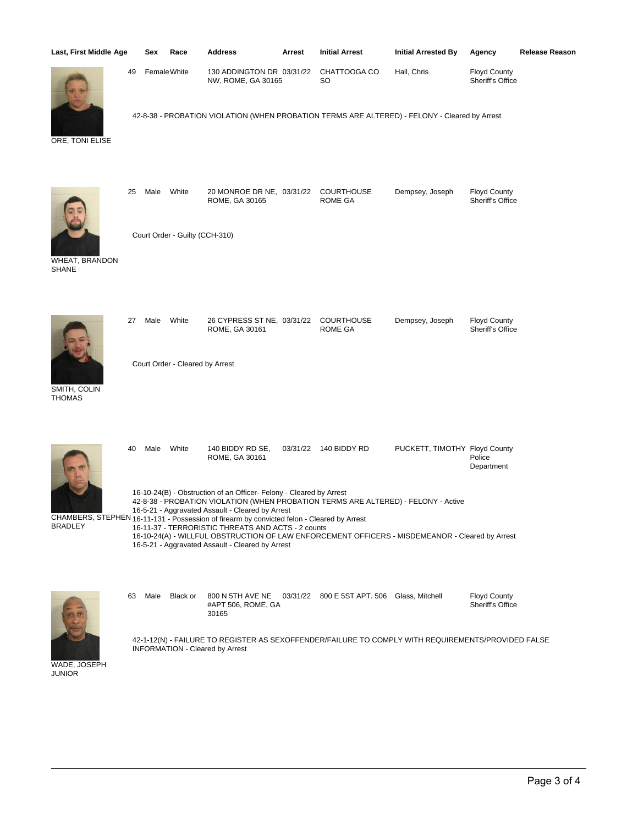| Last, First Middle Age         |    | Sex                                                                                                                                                                                                                                                                                                                                                                                                                                                                                                                      | Race                            | <b>Address</b>                                                                                                                        | Arrest   | <b>Initial Arrest</b>                                           | <b>Initial Arrested By</b>    | Agency                                  | <b>Release Reason</b> |  |  |
|--------------------------------|----|--------------------------------------------------------------------------------------------------------------------------------------------------------------------------------------------------------------------------------------------------------------------------------------------------------------------------------------------------------------------------------------------------------------------------------------------------------------------------------------------------------------------------|---------------------------------|---------------------------------------------------------------------------------------------------------------------------------------|----------|-----------------------------------------------------------------|-------------------------------|-----------------------------------------|-----------------------|--|--|
|                                | 49 |                                                                                                                                                                                                                                                                                                                                                                                                                                                                                                                          | Female White                    | 130 ADDINGTON DR 03/31/22<br>NW, ROME, GA 30165                                                                                       |          | CHATTOOGA CO<br>SO.                                             | Hall, Chris                   | <b>Floyd County</b><br>Sheriff's Office |                       |  |  |
| ORE, TONI ELISE                |    |                                                                                                                                                                                                                                                                                                                                                                                                                                                                                                                          |                                 | 42-8-38 - PROBATION VIOLATION (WHEN PROBATION TERMS ARE ALTERED) - FELONY - Cleared by Arrest                                         |          |                                                                 |                               |                                         |                       |  |  |
|                                | 25 | Male                                                                                                                                                                                                                                                                                                                                                                                                                                                                                                                     | White                           | 20 MONROE DR NE, 03/31/22<br>ROME, GA 30165                                                                                           |          | <b>COURTHOUSE</b><br><b>ROME GA</b>                             | Dempsey, Joseph               | <b>Floyd County</b><br>Sheriff's Office |                       |  |  |
| WHEAT, BRANDON<br><b>SHANE</b> |    |                                                                                                                                                                                                                                                                                                                                                                                                                                                                                                                          | Court Order - Guilty (CCH-310)  |                                                                                                                                       |          |                                                                 |                               |                                         |                       |  |  |
|                                | 27 | Male                                                                                                                                                                                                                                                                                                                                                                                                                                                                                                                     | White                           | 26 CYPRESS ST NE, 03/31/22<br>ROME, GA 30161                                                                                          |          | <b>COURTHOUSE</b><br><b>ROME GA</b>                             | Dempsey, Joseph               | <b>Floyd County</b><br>Sheriff's Office |                       |  |  |
| SMITH, COLIN<br><b>THOMAS</b>  |    |                                                                                                                                                                                                                                                                                                                                                                                                                                                                                                                          | Court Order - Cleared by Arrest |                                                                                                                                       |          |                                                                 |                               |                                         |                       |  |  |
|                                | 40 | Male                                                                                                                                                                                                                                                                                                                                                                                                                                                                                                                     | White                           | 140 BIDDY RD SE,<br>ROME, GA 30161                                                                                                    | 03/31/22 | 140 BIDDY RD                                                    | PUCKETT, TIMOTHY Floyd County | Police<br>Department                    |                       |  |  |
| <b>BRADLEY</b>                 |    | 16-10-24(B) - Obstruction of an Officer- Felony - Cleared by Arrest<br>42-8-38 - PROBATION VIOLATION (WHEN PROBATION TERMS ARE ALTERED) - FELONY - Active<br>16-5-21 - Aggravated Assault - Cleared by Arrest<br>CHAMBERS, STEPHEN 16-11-131 - Possession of firearm by convicted felon - Cleared by Arrest<br>16-11-37 - TERRORISTIC THREATS AND ACTS - 2 counts<br>16-10-24(A) - WILLFUL OBSTRUCTION OF LAW ENFORCEMENT OFFICERS - MISDEMEANOR - Cleared by Arrest<br>16-5-21 - Aggravated Assault - Cleared by Arrest |                                 |                                                                                                                                       |          |                                                                 |                               |                                         |                       |  |  |
|                                |    | 63 Male                                                                                                                                                                                                                                                                                                                                                                                                                                                                                                                  | Black or                        | #APT 506, ROME, GA<br>30165                                                                                                           |          | 800 N 5TH AVE NE  03/31/22  800 E 5ST APT. 506  Glass, Mitchell |                               | <b>Floyd County</b><br>Sheriff's Office |                       |  |  |
|                                |    |                                                                                                                                                                                                                                                                                                                                                                                                                                                                                                                          |                                 | 42-1-12(N) - FAILURE TO REGISTER AS SEXOFFENDER/FAILURE TO COMPLY WITH REQUIREMENTS/PROVIDED FALSE<br>INFORMATION - Cleared by Arrest |          |                                                                 |                               |                                         |                       |  |  |

WADE, JOSEPH JUNIOR